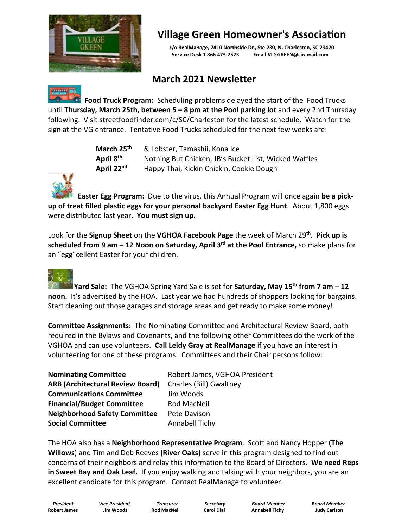

## **Village Green Homeowner's Association**

c/o RealManage, 7410 Northside Dr., Ste 230, N. Charleston, SC 29420 Service Desk 1 866 473-2573 Email VLGGREEN@ciramail.com

## **March 2021 Newsletter**



**Food Truck Program:** Scheduling problems delayed the start of the Food Trucks until **Thursday, March 25th, between 5 – 8 pm at the Pool parking lot** and every 2nd Thursday following. Visit [streetfoodfinder.com/c/SC/Charleston](https://streetfoodfinder.com/c/SC/Charleston) for the latest schedule. Watch for the sign at the VG entrance. Tentative Food Trucks scheduled for the next few weeks are:

| March 25 <sup>th</sup> | & Lobster, Tamashii, Kona Ice                         |
|------------------------|-------------------------------------------------------|
| April 8 <sup>th</sup>  | Nothing But Chicken, JB's Bucket List, Wicked Waffles |
| April 22 <sup>nd</sup> | Happy Thai, Kickin Chickin, Cookie Dough              |



Easter Egg Program: Due to the virus, this Annual Program will once again be a pick-<br>up of treat filled plastic eggs for your personal backyard Easter Egg Hunt. About 1,800 eggs were distributed last year. **You must sign up.**

Look for the **Signup Sheet** on the **VGHOA Facebook Page** the week of March 29 th . **Pick up is scheduled from 9 am – 12 Noon on Saturday, April 3 rd at the Pool Entrance,** so make plans for an "egg"cellent Easter for your children.

**Yard Sale:** The VGHOA Spring Yard Sale is set for **Saturday, May 15 th from 7 am – 12 noon.** It's advertised by the HOA. Last year we had hundreds of shoppers looking for bargains. Start cleaning out those garages and storage areas and get ready to make some money!

**Committee Assignments:** The Nominating Committee and Architectural Review Board, both required in the Bylaws and Covenants, and the following other Committees do the work of the VGHOA and can use volunteers. **Call Leidy Gray at RealManage** if you have an interest in volunteering for one of these programs. Committees and their Chair persons follow:

| <b>Nominating Committee</b>             | Robert James, VGHOA President |
|-----------------------------------------|-------------------------------|
| <b>ARB (Architectural Review Board)</b> | Charles (Bill) Gwaltney       |
| <b>Communications Committee</b>         | Jim Woods                     |
| <b>Financial/Budget Committee</b>       | Rod MacNeil                   |
| <b>Neighborhood Safety Committee</b>    | Pete Davison                  |
| <b>Social Committee</b>                 | Annabell Tichy                |

The HOA also has a **Neighborhood Representative Program**. Scott and Nancy Hopper **(The Willows**) and Tim and Deb Reeves **(River Oaks)** serve in this program designed to find out concerns of their neighbors and relay this information to the Board of Directors. **We need Reps in Sweet Bay and Oak Leaf.** If you enjoy walking and talking with your neighbors, you are an excellent candidate for this program. Contact RealManage to volunteer.

**Robert James Jim Woods Rod MacNeil Carol Dial Annabell Tichy Judy Carlson**